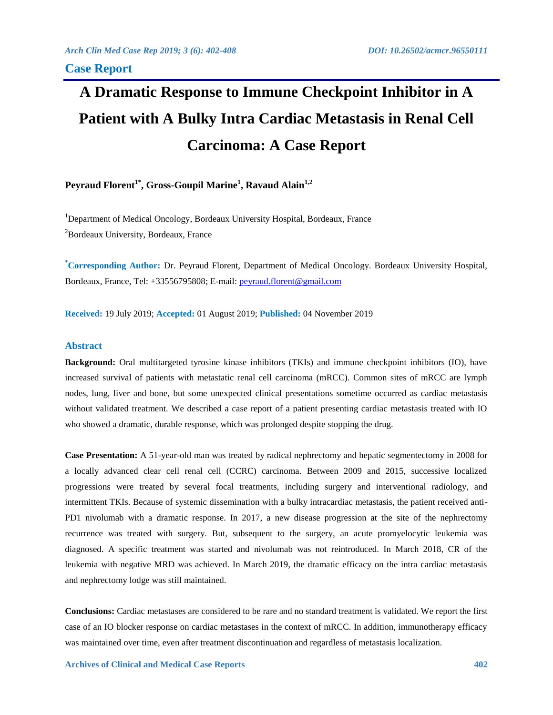# **A Dramatic Response to Immune Checkpoint Inhibitor in A Patient with A Bulky Intra Cardiac Metastasis in Renal Cell Carcinoma: A Case Report**

**Peyraud Florent1\* , Gross-Goupil Marine<sup>1</sup> , Ravaud Alain1,2**

<sup>1</sup>Department of Medical Oncology, Bordeaux University Hospital, Bordeaux, France <sup>2</sup>Bordeaux University, Bordeaux, France

**\*Corresponding Author:** Dr. Peyraud Florent, Department of Medical Oncology. Bordeaux University Hospital, Bordeaux, France, Tel: +33556795808; E-mail: [peyraud.florent@gmail.com](mailto:peyraud.florent@gmail.com)

**Received:** 19 July 2019; **Accepted:** 01 August 2019; **Published:** 04 November 2019

### **Abstract**

**Background:** Oral multitargeted tyrosine kinase inhibitors (TKIs) and immune checkpoint inhibitors (IO), have increased survival of patients with metastatic renal cell carcinoma (mRCC). Common sites of mRCC are lymph nodes, lung, liver and bone, but some unexpected clinical presentations sometime occurred as cardiac metastasis without validated treatment. We described a case report of a patient presenting cardiac metastasis treated with IO who showed a dramatic, durable response, which was prolonged despite stopping the drug.

**Case Presentation:** A 51-year-old man was treated by radical nephrectomy and hepatic segmentectomy in 2008 for a locally advanced clear cell renal cell (CCRC) carcinoma. Between 2009 and 2015, successive localized progressions were treated by several focal treatments, including surgery and interventional radiology, and intermittent TKIs. Because of systemic dissemination with a bulky intracardiac metastasis, the patient received anti-PD1 nivolumab with a dramatic response. In 2017, a new disease progression at the site of the nephrectomy recurrence was treated with surgery. But, subsequent to the surgery, an acute promyelocytic leukemia was diagnosed. A specific treatment was started and nivolumab was not reintroduced. In March 2018, CR of the leukemia with negative MRD was achieved. In March 2019, the dramatic efficacy on the intra cardiac metastasis and nephrectomy lodge was still maintained.

**Conclusions:** Cardiac metastases are considered to be rare and no standard treatment is validated. We report the first case of an IO blocker response on cardiac metastases in the context of mRCC. In addition, immunotherapy efficacy was maintained over time, even after treatment discontinuation and regardless of metastasis localization.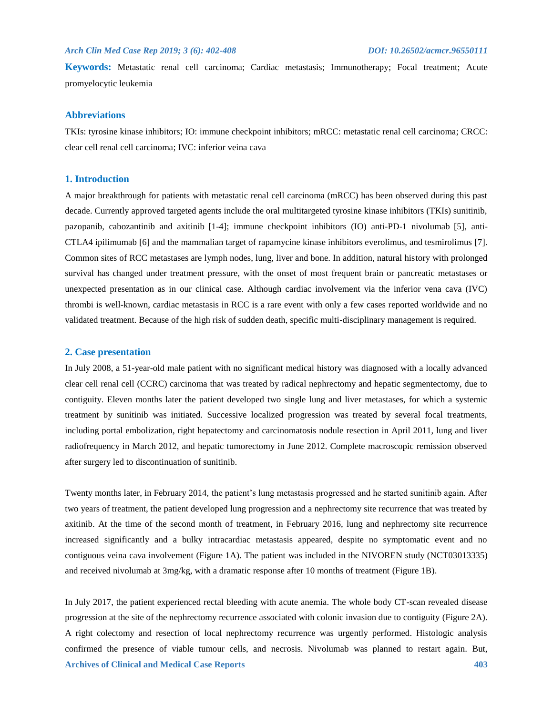# *Arch Clin Med Case Rep 2019; 3 (6): 402-408 DOI: 10.26502/acmcr.96550111*

**Keywords:** Metastatic renal cell carcinoma; Cardiac metastasis; Immunotherapy; Focal treatment; Acute promyelocytic leukemia

# **Abbreviations**

TKIs: tyrosine kinase inhibitors; IO: immune checkpoint inhibitors; mRCC: metastatic renal cell carcinoma; CRCC: clear cell renal cell carcinoma; IVC: inferior veina cava

# **1. Introduction**

A major breakthrough for patients with metastatic renal cell carcinoma (mRCC) has been observed during this past decade. Currently approved targeted agents include the oral multitargeted tyrosine kinase inhibitors (TKIs) sunitinib, pazopanib, cabozantinib and axitinib [1-4]; immune checkpoint inhibitors (IO) anti-PD-1 nivolumab [5], anti-CTLA4 ipilimumab [6] and the mammalian target of rapamycine kinase inhibitors everolimus, and tesmirolimus [7]. Common sites of RCC metastases are lymph nodes, lung, liver and bone. In addition, natural history with prolonged survival has changed under treatment pressure, with the onset of most frequent brain or pancreatic metastases or unexpected presentation as in our clinical case. Although cardiac involvement via the inferior vena cava (IVC) thrombi is well-known, cardiac metastasis in RCC is a rare event with only a few cases reported worldwide and no validated treatment. Because of the high risk of sudden death, specific multi-disciplinary management is required.

### **2. Case presentation**

In July 2008, a 51-year-old male patient with no significant medical history was diagnosed with a locally advanced clear cell renal cell (CCRC) carcinoma that was treated by radical nephrectomy and hepatic segmentectomy, due to contiguity. Eleven months later the patient developed two single lung and liver metastases, for which a systemic treatment by sunitinib was initiated. Successive localized progression was treated by several focal treatments, including portal embolization, right hepatectomy and carcinomatosis nodule resection in April 2011, lung and liver radiofrequency in March 2012, and hepatic tumorectomy in June 2012. Complete macroscopic remission observed after surgery led to discontinuation of sunitinib.

Twenty months later, in February 2014, the patient's lung metastasis progressed and he started sunitinib again. After two years of treatment, the patient developed lung progression and a nephrectomy site recurrence that was treated by axitinib. At the time of the second month of treatment, in February 2016, lung and nephrectomy site recurrence increased significantly and a bulky intracardiac metastasis appeared, despite no symptomatic event and no contiguous veina cava involvement (Figure 1A). The patient was included in the NIVOREN study (NCT03013335) and received nivolumab at 3mg/kg, with a dramatic response after 10 months of treatment (Figure 1B).

**Archives of Clinical and Medical Case Reports 403** In July 2017, the patient experienced rectal bleeding with acute anemia. The whole body CT-scan revealed disease progression at the site of the nephrectomy recurrence associated with colonic invasion due to contiguity (Figure 2A). A right colectomy and resection of local nephrectomy recurrence was urgently performed. Histologic analysis confirmed the presence of viable tumour cells, and necrosis. Nivolumab was planned to restart again. But,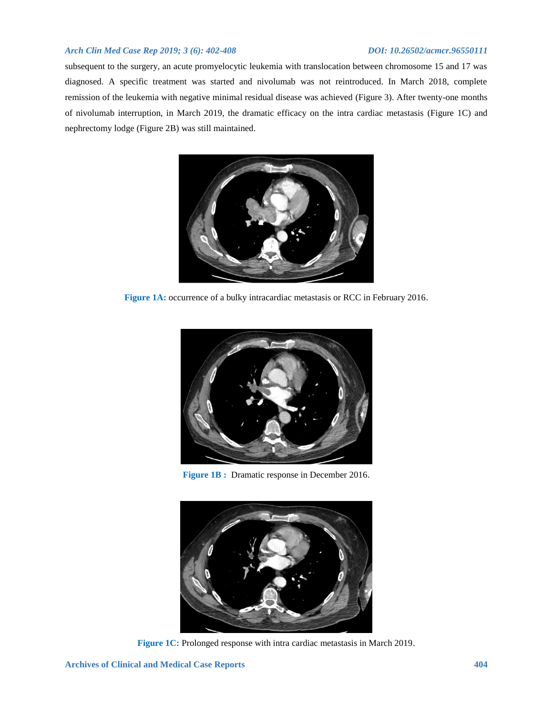# *Arch Clin Med Case Rep 2019; 3 (6): 402-408 DOI: 10.26502/acmcr.96550111*

subsequent to the surgery, an acute promyelocytic leukemia with translocation between chromosome 15 and 17 was diagnosed. A specific treatment was started and nivolumab was not reintroduced. In March 2018, complete remission of the leukemia with negative minimal residual disease was achieved (Figure 3). After twenty-one months of nivolumab interruption, in March 2019, the dramatic efficacy on the intra cardiac metastasis (Figure 1C) and nephrectomy lodge (Figure 2B) was still maintained.



**Figure 1A:** occurrence of a bulky intracardiac metastasis or RCC in February 2016.



**Figure 1B :** Dramatic response in December 2016.



**Figure 1C:** Prolonged response with intra cardiac metastasis in March 2019.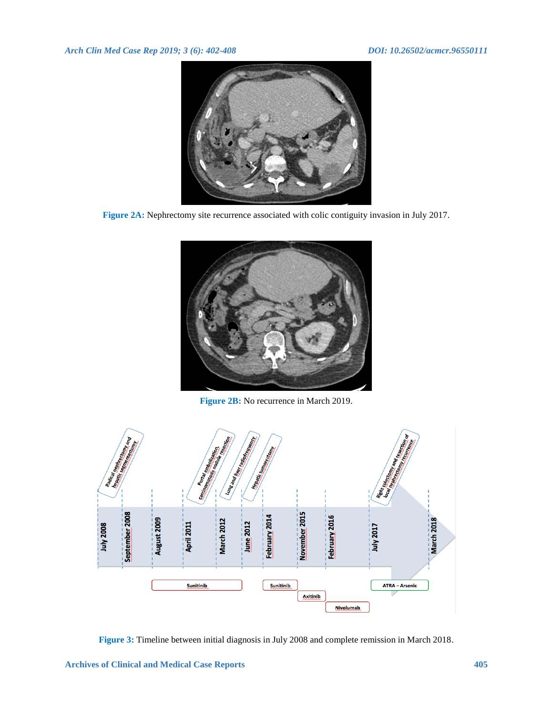

**Figure 2A:** Nephrectomy site recurrence associated with colic contiguity invasion in July 2017.



**Figure 2B:** No recurrence in March 2019.



**Figure 3:** Timeline between initial diagnosis in July 2008 and complete remission in March 2018.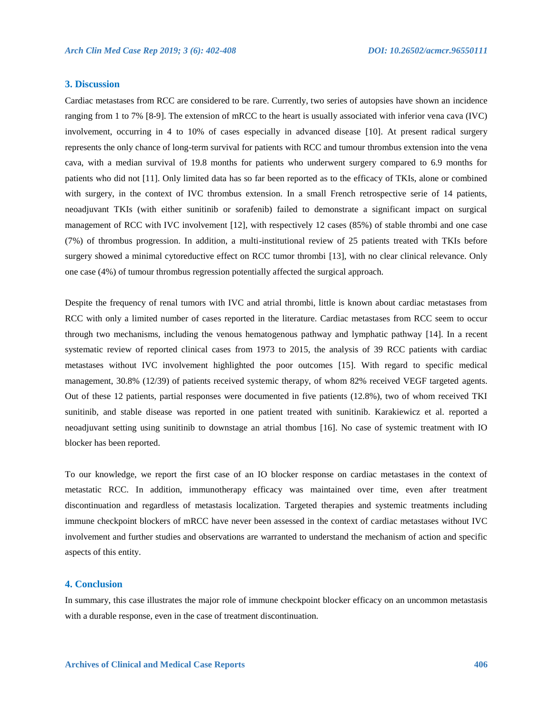# **3. Discussion**

Cardiac metastases from RCC are considered to be rare. Currently, two series of autopsies have shown an incidence ranging from 1 to 7% [8-9]. The extension of mRCC to the heart is usually associated with inferior vena cava (IVC) involvement, occurring in 4 to 10% of cases especially in advanced disease [10]. At present radical surgery represents the only chance of long-term survival for patients with RCC and tumour thrombus extension into the vena cava, with a median survival of 19.8 months for patients who underwent surgery compared to 6.9 months for patients who did not [11]. Only limited data has so far been reported as to the efficacy of TKIs, alone or combined with surgery, in the context of IVC thrombus extension. In a small French retrospective serie of 14 patients, neoadjuvant TKIs (with either sunitinib or sorafenib) failed to demonstrate a significant impact on surgical management of RCC with IVC involvement [12], with respectively 12 cases (85%) of stable thrombi and one case (7%) of thrombus progression. In addition, a multi-institutional review of 25 patients treated with TKIs before surgery showed a minimal cytoreductive effect on RCC tumor thrombi [13], with no clear clinical relevance. Only one case (4%) of tumour thrombus regression potentially affected the surgical approach.

Despite the frequency of renal tumors with IVC and atrial thrombi, little is known about cardiac metastases from RCC with only a limited number of cases reported in the literature. Cardiac metastases from RCC seem to occur through two mechanisms, including the venous hematogenous pathway and lymphatic pathway [14]. In a recent systematic review of reported clinical cases from 1973 to 2015, the analysis of 39 RCC patients with cardiac metastases without IVC involvement highlighted the poor outcomes [15]. With regard to specific medical management, 30.8% (12/39) of patients received systemic therapy, of whom 82% received VEGF targeted agents. Out of these 12 patients, partial responses were documented in five patients (12.8%), two of whom received TKI sunitinib, and stable disease was reported in one patient treated with sunitinib. Karakiewicz et al. reported a neoadjuvant setting using sunitinib to downstage an atrial thombus [16]. No case of systemic treatment with IO blocker has been reported.

To our knowledge, we report the first case of an IO blocker response on cardiac metastases in the context of metastatic RCC. In addition, immunotherapy efficacy was maintained over time, even after treatment discontinuation and regardless of metastasis localization. Targeted therapies and systemic treatments including immune checkpoint blockers of mRCC have never been assessed in the context of cardiac metastases without IVC involvement and further studies and observations are warranted to understand the mechanism of action and specific aspects of this entity.

### **4. Conclusion**

In summary, this case illustrates the major role of immune checkpoint blocker efficacy on an uncommon metastasis with a durable response, even in the case of treatment discontinuation.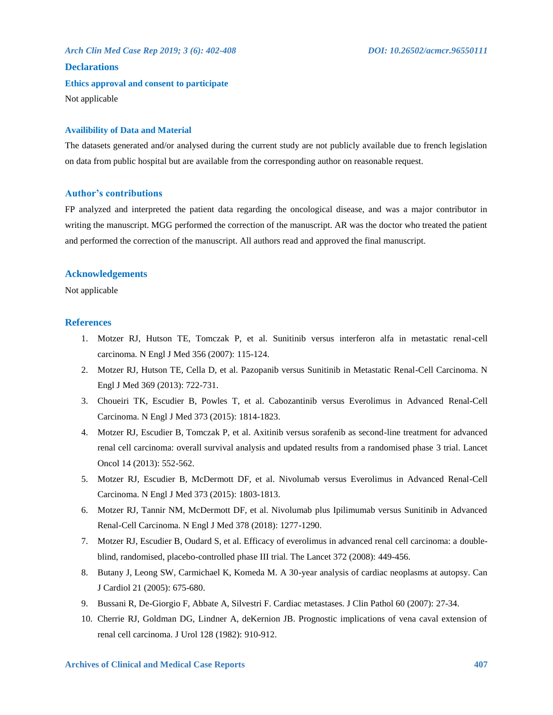*Arch Clin Med Case Rep 2019; 3 (6): 402-408 DOI: 10.26502/acmcr.96550111* **Declarations Ethics approval and consent to participate** Not applicable

# **Availibility of Data and Material**

The datasets generated and/or analysed during the current study are not publicly available due to french legislation on data from public hospital but are available from the corresponding author on reasonable request.

# **Author's contributions**

FP analyzed and interpreted the patient data regarding the oncological disease, and was a major contributor in writing the manuscript. MGG performed the correction of the manuscript. AR was the doctor who treated the patient and performed the correction of the manuscript. All authors read and approved the final manuscript.

# **Acknowledgements**

Not applicable

# **References**

- 1. Motzer RJ, Hutson TE, Tomczak P, et al. Sunitinib versus interferon alfa in metastatic renal-cell carcinoma. N Engl J Med 356 (2007): 115-124.
- 2. Motzer RJ, Hutson TE, Cella D, et al. Pazopanib versus Sunitinib in Metastatic Renal-Cell Carcinoma. N Engl J Med 369 (2013): 722-731.
- 3. Choueiri TK, Escudier B, Powles T, et al. Cabozantinib versus Everolimus in Advanced Renal-Cell Carcinoma. N Engl J Med 373 (2015): 1814-1823.
- 4. Motzer RJ, Escudier B, Tomczak P, et al. Axitinib versus sorafenib as second-line treatment for advanced renal cell carcinoma: overall survival analysis and updated results from a randomised phase 3 trial. Lancet Oncol 14 (2013): 552-562.
- 5. Motzer RJ, Escudier B, McDermott DF, et al. Nivolumab versus Everolimus in Advanced Renal-Cell Carcinoma. N Engl J Med 373 (2015): 1803-1813.
- 6. Motzer RJ, Tannir NM, McDermott DF, et al. Nivolumab plus Ipilimumab versus Sunitinib in Advanced Renal-Cell Carcinoma. N Engl J Med 378 (2018): 1277-1290.
- 7. Motzer RJ, Escudier B, Oudard S, et al. Efficacy of everolimus in advanced renal cell carcinoma: a doubleblind, randomised, placebo-controlled phase III trial. The Lancet 372 (2008): 449-456.
- 8. Butany J, Leong SW, Carmichael K, Komeda M. A 30-year analysis of cardiac neoplasms at autopsy. Can J Cardiol 21 (2005): 675-680.
- 9. Bussani R, De-Giorgio F, Abbate A, Silvestri F. Cardiac metastases. J Clin Pathol 60 (2007): 27-34.
- 10. Cherrie RJ, Goldman DG, Lindner A, deKernion JB. Prognostic implications of vena caval extension of renal cell carcinoma. J Urol 128 (1982): 910-912.